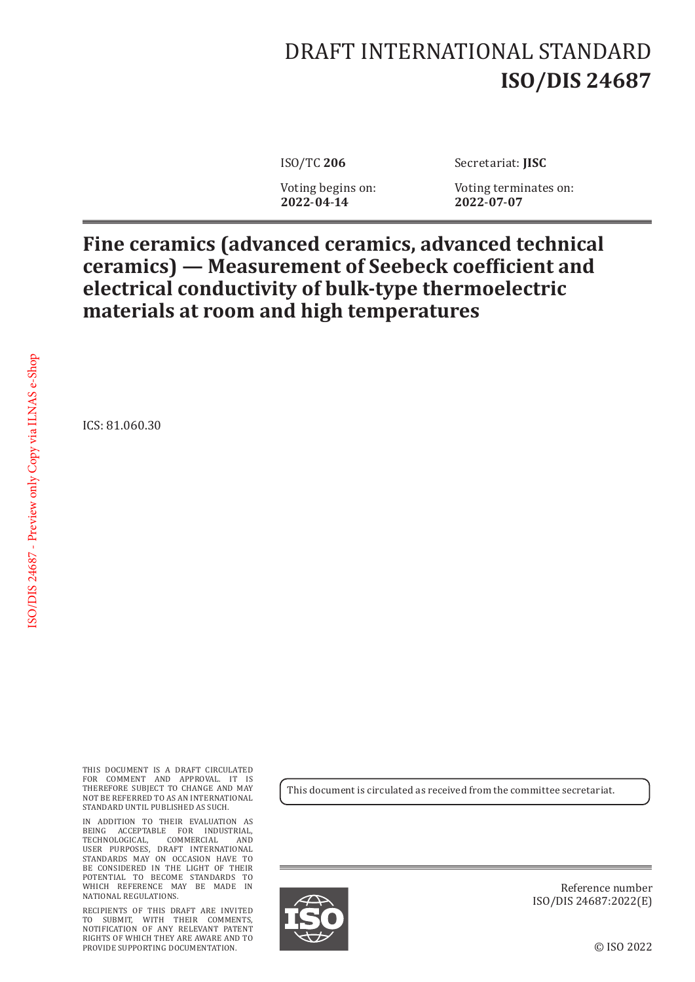## DRAFT INTERNATIONAL STANDARD **ISO/DIS 24687**

**2022**-**04**-**14 2022**-**07**-**07**

ISO/TC **206** Secretariat: **JISC**

Voting begins on: Voting terminates on:<br>2022-04-14 2022-07-07

## **Fine ceramics (advanced ceramics, advanced technical ceramics) — Measurement of Seebeck coefficient and electrical conductivity of bulk-type thermoelectric materials at room and high temperatures**

ICS: 81.060.30

THIS DOCUMENT IS A DRAFT CIRCULATED FOR COMMENT AND APPROVAL. IT IS THEREFORE SUBJECT TO CHANGE AND MAY NOT BE REFERRED TO AS AN INTERNATIONAL STANDARD UNTIL PUBLISHED AS SUCH.

IN ADDITION TO THEIR EVALUATION AS BEING ACCEPTABLE FOR INDUSTRIAL, TECHNOLOGICAL, COMMERCIAL AND USER PURPOSES, DRAFT INTERNATIONAL STANDARDS MAY ON OCCASION HAVE TO BE CONSIDERED IN THE LIGHT OF THEIR POTENTIAL TO BECOME STANDARDS TO WHICH REFERENCE MAY BE MADE IN NATIONAL REGULATIONS.

RECIPIENTS OF THIS DRAFT ARE INVITED TO SUBMIT, WITH THEIR COMMENTS, NOTIFICATION OF ANY RELEVANT PATENT RIGHTS OF WHICH THEY ARE AWARE AND TO PROVIDE SUPPORTING DOCUMENTATION.

This document is circulated as received from the committee secretariat.



Reference number ISO/DIS 24687:2022(E)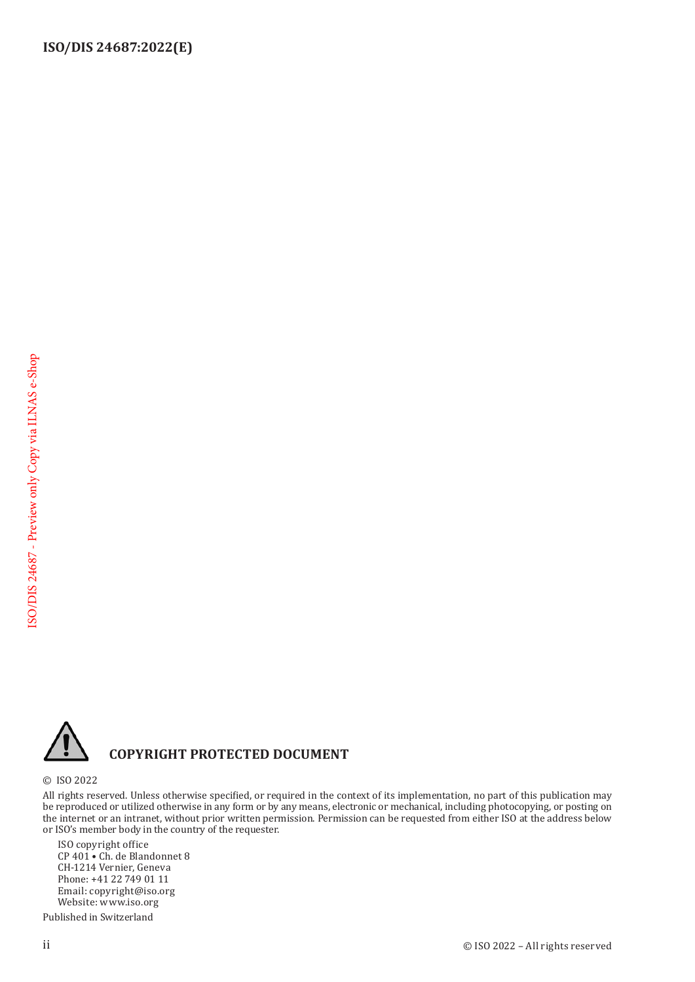

## **COPYRIGHT PROTECTED DOCUMENT**

© ISO 2022

All rights reserved. Unless otherwise specified, or required in the context of its implementation, no part of this publication may be reproduced or utilized otherwise in any form or by any means, electronic or mechanical, including photocopying, or posting on the internet or an intranet, without prior written permission. Permission can be requested from either ISO at the address below or ISO's member body in the country of the requester.

ISO copyright office CP 401 • Ch. de Blandonnet 8 CH-1214 Vernier, Geneva Phone: +41 22 749 01 11 Email: copyright@iso.org Website: www.iso.org

Published in Switzerland